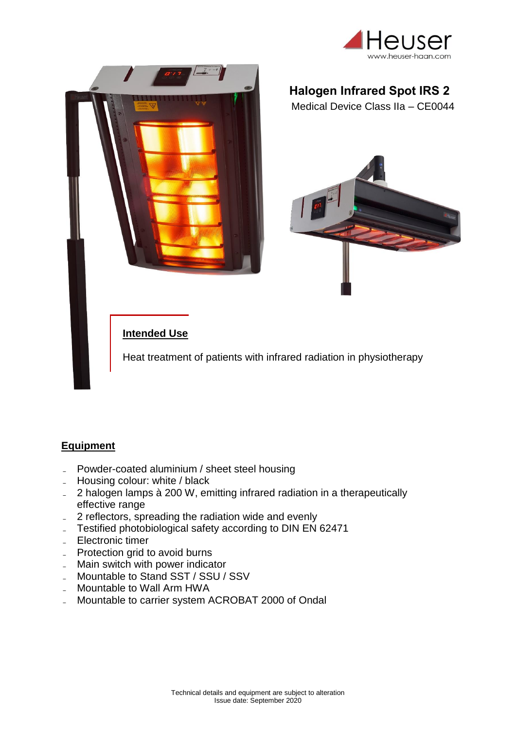



## **Halogen Infrared Spot IRS 2**

Medical Device Class IIa – CE0044



## **Intended Use**

Heat treatment of patients with infrared radiation in physiotherapy

## **Equipment**

- Powder-coated aluminium / sheet steel housing
- Housing colour: white / black
- 2 halogen lamps à 200 W, emitting infrared radiation in a therapeutically effective range
- 2 reflectors, spreading the radiation wide and evenly
- Testified photobiological safety according to DIN EN 62471
- Electronic timer
- Protection grid to avoid burns
- Main switch with power indicator
- Mountable to Stand SST / SSU / SSV
- Mountable to Wall Arm HWA
- Mountable to carrier system ACROBAT 2000 of Ondal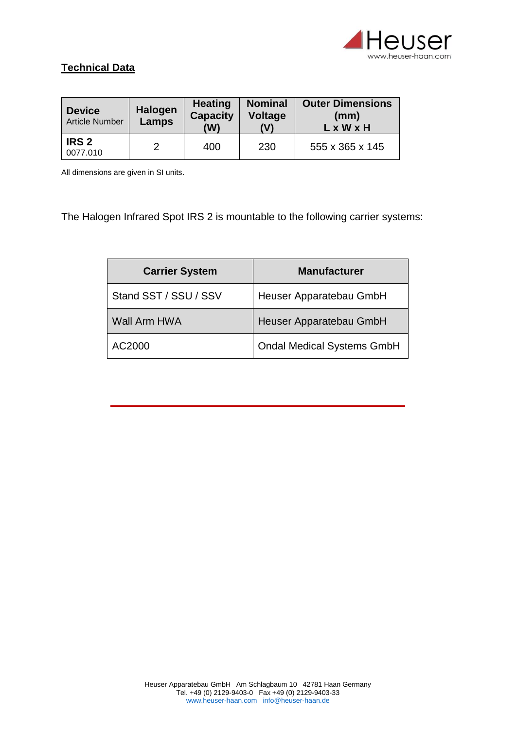

## **Technical Data**

| <b>Device</b><br><b>Article Number</b> | <b>Halogen</b><br>Lamps | <b>Heating</b><br><b>Capacity</b><br>(W) | <b>Nominal</b><br><b>Voltage</b><br>(1) | <b>Outer Dimensions</b><br>(mm)<br>$L \times W \times H$ |
|----------------------------------------|-------------------------|------------------------------------------|-----------------------------------------|----------------------------------------------------------|
| IRS <sub>2</sub><br>0077.010           |                         | 400                                      | 230                                     | 555 x 365 x 145                                          |

All dimensions are given in SI units.

The Halogen Infrared Spot IRS 2 is mountable to the following carrier systems:

| <b>Carrier System</b> | <b>Manufacturer</b>               |  |
|-----------------------|-----------------------------------|--|
| Stand SST / SSU / SSV | Heuser Apparatebau GmbH           |  |
| Wall Arm HWA          | Heuser Apparatebau GmbH           |  |
| AC2000                | <b>Ondal Medical Systems GmbH</b> |  |